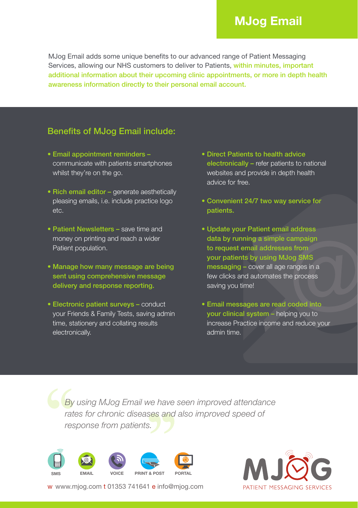## **MJog Email**

MJog Email adds some unique benefits to our advanced range of Patient Messaging Services, allowing our NHS customers to deliver to Patients, within minutes, important additional information about their upcoming clinic appointments, or more in depth health awareness information directly to their personal email account.

## Benefits of MJog Email include:

- Email appointment reminders communicate with patients smartphones whilst they're on the go.
- Rich email editor generate aesthetically pleasing emails, i.e. include practice logo etc.
- Patient Newsletters save time and money on printing and reach a wider Patient population.
- Manage how many message are being sent using comprehensive message delivery and response reporting.
- Electronic patient surveys conduct your Friends & Family Tests, saving admin time, stationery and collating results electronically.
- Direct Patients to health advice electronically – refer patients to national websites and provide in depth health advice for free.
- Convenient 24/7 two way service for patients.
- Update your Patient email address data by running a simple campaign to request email addresses from your patients by using MJog SMS messaging – cover all age ranges in a few clicks and automates the process saving you time!
- Email messages are read coded into your clinical system – helping you to increase Practice income and reduce your admin time.

*By using MJog Email we have seen improved attendance rates for chronic diseases and also improved speed of response from patients.*





w www.mjog.com t 01353 741641 e info@mjog.com